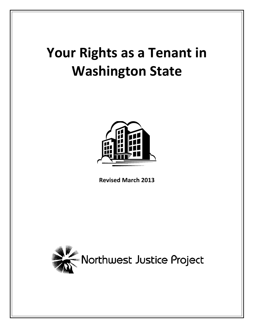# **Your Rights as a Tenant in Washington State**



**Revised March 2013**

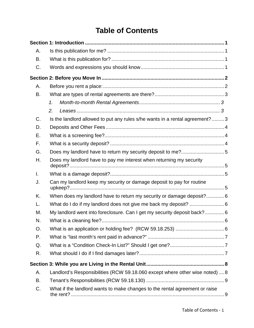# **Table of Contents**

| Α. |                                                                               |  |
|----|-------------------------------------------------------------------------------|--|
| B. |                                                                               |  |
| C. |                                                                               |  |
|    |                                                                               |  |
| Α. |                                                                               |  |
| B. |                                                                               |  |
|    | 1.                                                                            |  |
|    | 2.                                                                            |  |
| C. | Is the landlord allowed to put any rules s/he wants in a rental agreement?  3 |  |
| D. |                                                                               |  |
| Е. |                                                                               |  |
| F. |                                                                               |  |
| G. | Does my landlord have to return my security deposit to me?5                   |  |
| Η. | Does my landlord have to pay me interest when returning my security           |  |
| I. |                                                                               |  |
| J. | Can my landlord keep my security or damage deposit to pay for routine         |  |
| K. | When does my landlord have to return my security or damage deposit?6          |  |
| L. |                                                                               |  |
| М. | My landlord went into foreclosure. Can I get my security deposit back?6       |  |
| N. |                                                                               |  |
| O. |                                                                               |  |
| Р. |                                                                               |  |
| Q. |                                                                               |  |
| R. |                                                                               |  |
|    |                                                                               |  |
| А. | Landlord's Responsibilities (RCW 59.18.060 except where other wise noted)  8  |  |
| В. |                                                                               |  |
| C. | What if the landlord wants to make changes to the rental agreement or raise   |  |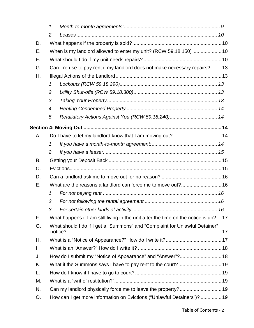|    | 1. |                                                                                      |  |  |  |  |
|----|----|--------------------------------------------------------------------------------------|--|--|--|--|
|    | 2. |                                                                                      |  |  |  |  |
| D. |    |                                                                                      |  |  |  |  |
| Е. |    | When is my landlord allowed to enter my unit? (RCW 59.18.150) 10                     |  |  |  |  |
| F. |    |                                                                                      |  |  |  |  |
| G. |    | Can I refuse to pay rent if my landlord does not make necessary repairs? 13          |  |  |  |  |
| Η. |    |                                                                                      |  |  |  |  |
|    | 1. |                                                                                      |  |  |  |  |
|    | 2. |                                                                                      |  |  |  |  |
|    | 3. |                                                                                      |  |  |  |  |
|    | 4. |                                                                                      |  |  |  |  |
|    | 5. | Retaliatory Actions Against You (RCW 59.18.240) 14                                   |  |  |  |  |
|    |    |                                                                                      |  |  |  |  |
| А. |    | Do I have to let my landlord know that I am moving out? 14                           |  |  |  |  |
|    | 1. |                                                                                      |  |  |  |  |
|    | 2. |                                                                                      |  |  |  |  |
| В. |    |                                                                                      |  |  |  |  |
| C. |    |                                                                                      |  |  |  |  |
| D. |    |                                                                                      |  |  |  |  |
| Е. |    |                                                                                      |  |  |  |  |
|    | 1. |                                                                                      |  |  |  |  |
|    | 2. |                                                                                      |  |  |  |  |
|    | З. |                                                                                      |  |  |  |  |
| F. |    | What happens if I am still living in the unit after the time on the notice is up? 17 |  |  |  |  |
| G. |    | What should I do if I get a "Summons" and "Complaint for Unlawful Detainer"          |  |  |  |  |
| Н. |    |                                                                                      |  |  |  |  |
| I. |    |                                                                                      |  |  |  |  |
| J. |    | How do I submit my "Notice of Appearance" and "Answer"? 18                           |  |  |  |  |
| Κ. |    | What if the Summons says I have to pay rent to the court? 19                         |  |  |  |  |
| L. |    |                                                                                      |  |  |  |  |
| М. |    |                                                                                      |  |  |  |  |
| N. |    |                                                                                      |  |  |  |  |
| O. |    | How can I get more information on Evictions ("Unlawful Detainers")?  19              |  |  |  |  |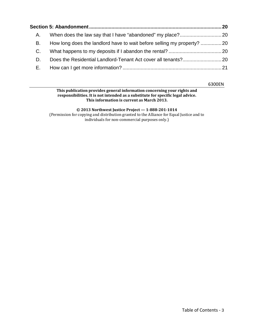| А. |                                                                        |  |
|----|------------------------------------------------------------------------|--|
| В. | How long does the landlord have to wait before selling my property? 20 |  |
| C. |                                                                        |  |
| D. |                                                                        |  |
| Е. |                                                                        |  |

6300EN

#### **This publication provides general information concerning your rights and responsibilities. It is not intended as a substitute for specific legal advice. This information is current as March 2013.**

**© 2013 Northwest Justice Project — 1-888-201-1014** (Permission for copying and distribution granted to the Alliance for Equal Justice and to individuals for non-commercial purposes only.)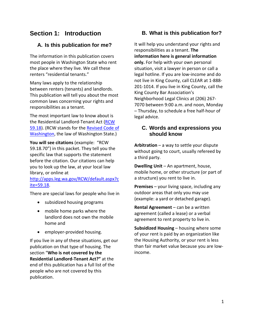# **Section 1: Introduction**

# <span id="page-4-1"></span><span id="page-4-0"></span>**A. Is this publication for me?**

The information in this publication covers most people in Washington State who rent the place where they live. We call these renters "residential tenants."

Many laws apply to the relationship between renters (tenants) and landlords. This publication will tell you about the most common laws concerning your rights and responsibilities as a tenant.

The most important law to know about is the Residential Landlord-Tenant Act [\(RCW](http://apps.leg.wa.gov/RCW/default.aspx?cite=59.18)  [59.18\)](http://apps.leg.wa.gov/RCW/default.aspx?cite=59.18). (RCW stands for the [Revised Code of](http://apps.leg.wa.gov/rcw/)  [Washington,](http://apps.leg.wa.gov/rcw/) the law of Washington State.)

**You will see citations** (example: "RCW 59.18.70") in this packet. They tell you the specific law that supports the statement before the citation. Our citations can help you to look up the law, at your local law library, or online at

[http://apps.leg.wa.gov/RCW/default.aspx?c](http://apps.leg.wa.gov/RCW/default.aspx?cite=59.18) [ite=59.18.](http://apps.leg.wa.gov/RCW/default.aspx?cite=59.18)

There are special laws for people who live in

- subsidized housing programs
- mobile home parks where the landlord does not own the mobile home and
- employer-provided housing.

If you live in any of these situations, get our publication on that type of housing. The section "**Who is not covered by the Residential Landlord-Tenant Act?"** at the end of this publication has a full list of the people who are not covered by this publication.

# <span id="page-4-2"></span>**B. What is this publication for?**

It will help you understand your rights and responsibilities as a tenant. **The information here is general information only.** For help with your own personal situation, visit a lawyer in person or call a legal hotline. If you are low-income and do not live in King County, call CLEAR at 1-888- 201-1014. If you live in King County, call the King County Bar Association's Neighborhood Legal Clinics at (206) 267- 7070 between 9:00 a.m. and noon, Monday – Thursday, to schedule a free half-hour of legal advice.

#### <span id="page-4-3"></span>**C. Words and expressions you should know**

**Arbitration** – a way to settle your dispute without going to court, usually refereed by a third party.

**Dwelling Unit** – An apartment, house, mobile home, or other structure (or part of a structure) you rent to live in.

**Premises** – your living space, including any outdoor areas that only you may use (example: a yard or detached garage).

**Rental Agreement** – can be a written agreement (called a lease) or a verbal agreement to rent property to live in.

**Subsidized Housing** – housing where some of your rent is paid by an organization like the Housing Authority, or your rent is less than fair market value because you are lowincome.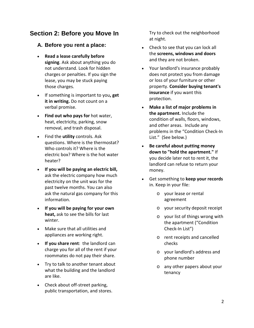# **Section 2: Before you Move In**

## <span id="page-5-1"></span><span id="page-5-0"></span>**A. Before you rent a place:**

- **Read a lease carefully before signing**. Ask about anything you do not understand. Look for hidden charges or penalties. If you sign the lease, you may be stuck paying those charges.
- If something is important to you**, get it in writing.** Do not count on a verbal promise.
- **Find out who pays for** hot water, heat, electricity, parking, snow removal, and trash disposal.
- Find the **utility** controls. Ask questions. Where is the thermostat? Who controls it? Where is the electric box? Where is the hot water heater?
- **If you will be paying an electric bill,**  ask the electric company how much electricity on the unit was for the past twelve months. You can also ask the natural gas company for this information.
- **If you will be paying for your own heat,** ask to see the bills for last winter.
- Make sure that all utilities and appliances are working right.
- **If you share rent**: the landlord can charge you for all of the rent if your roommates do not pay their share.
- Try to talk to another tenant about what the building and the landlord are like.
- Check about off-street parking, public transportation, and stores.

Try to check out the neighborhood at night.

- Check to see that you can lock all the **screens, windows and doors** and they are not broken.
- Your landlord's insurance probably does not protect you from damage or loss of your furniture or other property. **Consider buying tenant's insurance** if you want this protection.
- **Make a list of major problems in the apartment.** Include the condition of walls, floors, windows, and other areas. Include any problems in the "Condition Check-In List." (See below.)
- **Be careful about putting money down to "hold the apartment."** If you decide later not to rent it, the landlord can refuse to return your money.
- Get something to **keep your records** in. Keep in your file:
	- o your lease or rental agreement
	- o your security deposit receipt
	- o your list of things wrong with the apartment ("Condition Check-In List")
	- o rent receipts and cancelled checks
	- o your landlord's address and phone number
	- o any other papers about your tenancy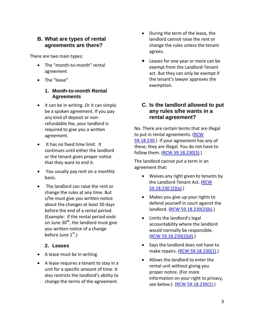#### <span id="page-6-0"></span>**B. What are types of rental agreements are there?**

There are two main types:

- The "month-to-month" rental agreement
- <span id="page-6-1"></span>• The "lease"

#### **1. Month-to-month Rental Agreements**

- It can be in writing. Or it can simply be a spoken agreement. If you pay any kind of deposit or nonrefundable fee, your landlord is required to give you a written agreement.
- It has no fixed time limit. It continues until either the landlord or the tenant gives proper notice that they want to end it.
- You usually pay rent on a monthly basis.
- The landlord can raise the rent or change the rules at any time. But s/he must give you written notice about the changes at least 30 days before the end of a rental period. (Example: if the rental period ends on June  $30<sup>th</sup>$ , the landlord must give you written notice of a change before June  $1<sup>st</sup>$ .)

## **2. Leases**

- <span id="page-6-2"></span>• A lease must be in writing.
- A lease requires a tenant to stay in a unit for a specific amount of time. It also restricts the landlord's ability to change the terms of the agreement.
- During the term of the lease, the landlord cannot raise the rent or change the rules unless the tenant agrees.
- Leases for one year or more can be exempt from the Landlord-Tenant act. But they can only be exempt if the tenant's lawyer approves the exemption.

## <span id="page-6-3"></span>**C. Is the landlord allowed to put any rules s/he wants in a rental agreement?**

No. There are certain terms that are illegal to put in rental agreements. [\(RCW](http://apps.leg.wa.gov/RCW/default.aspx?cite=59.18.230)  [59.18.230.](http://apps.leg.wa.gov/RCW/default.aspx?cite=59.18.230)) If your agreement has any of these, they are illegal. You do not have to follow them. [\(RCW 59.18.230\(3\).](http://apps.leg.wa.gov/RCW/default.aspx?cite=59.18.230))

The landlord cannot put a term in an agreement that:

- Waives any right given to tenants by the Landlord-Tenant Act. (RCW [59.18.230 \(2\)\(a\).](http://apps.leg.wa.gov/RCW/default.aspx?cite=59.18.230))
- Makes you give up your rights to defend yourself in court against the landlord. [\(RCW 59.18.230\(2\)\(b\).](http://apps.leg.wa.gov/RCW/default.aspx?cite=59.18.230))
- Limits the landlord's legal accountability where the landlord would normally be responsible. [\(RCW 59.18.230\(2\)\(d\).](http://apps.leg.wa.gov/RCW/default.aspx?cite=59.18.230))
- Says the landlord does not have to make repairs. [\(RCW 59.18.230\(1\).](http://apps.leg.wa.gov/RCW/default.aspx?cite=59.18.230))
- Allows the landlord to enter the rental unit without giving you proper notice. (For more information on your right to privacy, see below.) [\(RCW 59.18.230\(1\).](http://apps.leg.wa.gov/RCW/default.aspx?cite=59.18.230))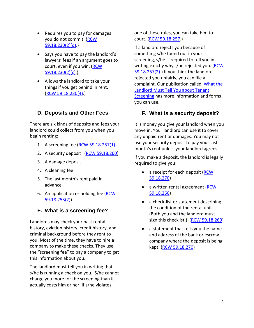- Requires you to pay for damages you do not commit. [\(RCW](http://apps.leg.wa.gov/RCW/default.aspx?cite=59.18.230)  [59.18.230\(2\)\(d\).](http://apps.leg.wa.gov/RCW/default.aspx?cite=59.18.230))
- Says you have to pay the landlord's lawyers' fees if an argument goes to court, even if you win. [\(RCW](http://apps.leg.wa.gov/RCW/default.aspx?cite=59.18.230)  [59.18.230\(2\)\(c\).](http://apps.leg.wa.gov/RCW/default.aspx?cite=59.18.230))
- Allows the landlord to take your things if you get behind in rent. [\(RCW 59.18.230\(4\).](http://apps.leg.wa.gov/RCW/default.aspx?cite=59.18.230))

## <span id="page-7-0"></span>**D. Deposits and Other Fees**

There are six kinds of deposits and fees your landlord could collect from you when you begin renting:

- 1. A screening fee [\(RCW 59.18.257\(1\)](http://apps.leg.wa.gov/RCW/default.aspx?cite=59.18.257)
- 2. A security deposit [\(RCW 59.18.260\)](http://apps.leg.wa.gov/RCW/default.aspx?cite=59.18.260)
- 3. A damage deposit
- 4. A cleaning fee
- 5. The last month's rent paid in advance
- 6. An application or holding fee [\(RCW](http://apps.leg.wa.gov/RCW/default.aspx?cite=59.18.253)  [59.18.253\(2\)\)](http://apps.leg.wa.gov/RCW/default.aspx?cite=59.18.253)

## <span id="page-7-1"></span>**E. What is a screening fee?**

Landlords may check your past rental history, eviction history, credit history, and criminal background before they rent to you. Most of the time, they have to hire a company to make these checks. They use the "screening fee" to pay a company to get this information about you.

The landlord must tell you in writing that s/he is running a check on you. S/he cannot charge you more for the screening than it actually costs him or her. If s/he violates

one of these rules, you can take him to court. [\(RCW 59.18.257.](http://apps.leg.wa.gov/RCW/default.aspx?cite=59.18.257))

If a landlord rejects you because of something s/he found out in your screening, s/he is required to tell you in writing exactly why s/he rejected you. (RCW [59.18.257\(2\).](http://apps.leg.wa.gov/RCW/default.aspx?cite=59.18.257)) If you think the landlord rejected you unfairly, you can file a complaint. Our publication called [What the](http://www.washingtonlawhelp.org/resource/new-state-law-what-a-landlord-needs-to-tell-y?ref=RdH1M)  [Landlord Must Tell You about Tenant](http://www.washingtonlawhelp.org/resource/new-state-law-what-a-landlord-needs-to-tell-y?ref=RdH1M)  [Screening](http://www.washingtonlawhelp.org/resource/new-state-law-what-a-landlord-needs-to-tell-y?ref=RdH1M) has more information and forms you can use.

# <span id="page-7-2"></span>**F. What is a security deposit?**

It is money you give your landlord when you move in. Your landlord can use it to cover any unpaid rent or damages. You may not use your security deposit to pay your last month's rent unless your landlord agrees.

If you make a deposit, the landlord is legally required to give you:

- a receipt for each deposit (RCW) [59.18.270\)](http://apps.leg.wa.gov/RCW/default.aspx?cite=59.18.270)
- a written rental agreement (RCW [59.18.260\)](http://apps.leg.wa.gov/RCW/default.aspx?cite=59.18.260)
- a check-list or statement describing the condition of the rental unit. (Both you and the landlord must sign this checklist.) [\(RCW 59.18.260\)](http://apps.leg.wa.gov/RCW/default.aspx?cite=59.18.260)
- a statement that tells you the name and address of the bank or escrow company where the deposit is being kept. [\(RCW 59.18.270\)](http://apps.leg.wa.gov/RCW/default.aspx?cite=59.18.270)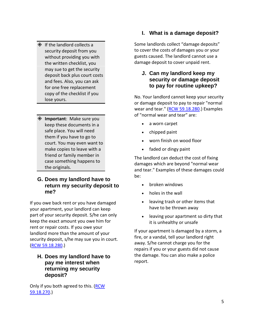- **♦ If the landlord collects a** security deposit from you without providing you with the written checklist, you may sue to get the security deposit back plus court costs and fees. Also, you can ask for one free replacement copy of the checklist if you lose yours.
- **Important**: Make sure you keep these documents in a safe place. You will need them if you have to go to court. You may even want to make copies to leave with a friend or family member in case something happens to the originals.

#### <span id="page-8-0"></span>**G. Does my landlord have to return my security deposit to me?**

If you owe back rent or you have damaged your apartment, your landlord can keep part of your security deposit. S/he can only keep the exact amount you owe him for rent or repair costs. If you owe your landlord more than the amount of your security deposit, s/he may sue you in court. [\(RCW 59.18.280.](http://apps.leg.wa.gov/RCW/default.aspx?cite=59.18.280))

#### <span id="page-8-1"></span>**H. Does my landlord have to pay me interest when returning my security deposit?**

Only if you both agreed to this. [\(RCW](http://apps.leg.wa.gov/RCW/default.aspx?cite=59.18.270)  [59.18.270.](http://apps.leg.wa.gov/RCW/default.aspx?cite=59.18.270))

# <span id="page-8-2"></span>**I. What is a damage deposit?**

Some landlords collect "damage deposits" to cover the costs of damages you or your guests caused. The landlord cannot use a damage deposit to cover unpaid rent.

### <span id="page-8-3"></span>**J. Can my landlord keep my security or damage deposit to pay for routine upkeep?**

No. Your landlord cannot keep your security or damage deposit to pay to repair "normal wear and tear." [\(RCW 59.18.280.](http://apps.leg.wa.gov/RCW/default.aspx?cite=59.18.280)) Examples of "normal wear and tear" are:

- a worn carpet
- chipped paint
- worn finish on wood floor
- faded or dingy paint

The landlord can deduct the cost of fixing damages which are beyond "normal wear and tear." Examples of these damages could be:

- broken windows
- holes in the wall
- leaving trash or other items that have to be thrown away
- leaving your apartment so dirty that it is unhealthy or unsafe

If your apartment is damaged by a storm, a fire, or a vandal, tell your landlord right away. S/he cannot charge you for the repairs if you or your guests did not cause the damage. You can also make a police report.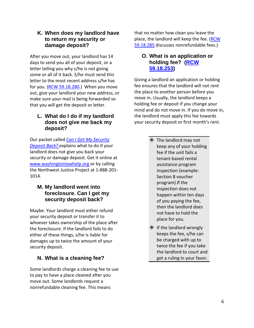#### <span id="page-9-0"></span>**K. When does my landlord have to return my security or damage deposit?**

After you move out, your landlord has 14 days to send you all of your deposit, or a letter telling you why s/he is not giving some or all of it back. S/he must send this letter to the most recent address s/he has for you. [\(RCW 59.18.280.](http://apps.leg.wa.gov/RCW/default.aspx?cite=59.18.280)) When you move out, give your landlord your new address, or make sure your mail is being forwarded so that you will get the deposit or letter.

## <span id="page-9-1"></span>**L. What do I do if my landlord does not give me back my deposit?**

Our packet called *[Can I Get My Security](http://www.washingtonlawhelp.org/resource/can-i-get-my-security-deposit-back?ref=HLvsR)  [Deposit Back?](http://www.washingtonlawhelp.org/resource/can-i-get-my-security-deposit-back?ref=HLvsR)* explains what to do if your landlord does not give you back your security or damage deposit. Get it online at [www.washingtonlawhelp.org](http://www.washingtonlawhelp.gov/) or by calling the Northwest Justice Project at 1-888-201- 1014.

## <span id="page-9-2"></span>**M. My landlord went into foreclosure. Can I get my security deposit back?**

Maybe. Your landlord must either refund your security deposit or transfer it to whoever takes ownership of the place after the foreclosure. If the landlord fails to do either of these things, s/he is liable for damages up to twice the amount of your security deposit.

# <span id="page-9-3"></span>**N. What is a cleaning fee?**

Some landlords charge a cleaning fee to use to pay to have a place cleaned after you move out. Some landlords request a nonrefundable cleaning fee. This means

that no matter how clean you leave the place, the landlord will keep the fee. [\(RCW](http://apps.leg.wa.gov/RCW/default.aspx?cite=59.18.285)  [59.18.285](http://apps.leg.wa.gov/RCW/default.aspx?cite=59.18.285) discusses nonrefundable fees.)

#### <span id="page-9-4"></span>**O. What is an application or holding fee? [\(RCW](http://apps.leg.wa.gov/RCW/default.aspx?cite=59.18.253)  [59.18.253\)](http://apps.leg.wa.gov/RCW/default.aspx?cite=59.18.253)**

Giving a landlord an application or holding fee ensures that the landlord will not rent the place to another person before you move in. Usually, the landlord keeps a holding fee or deposit if you change your mind and do not move in. If you do move in, the landlord must apply this fee towards your security deposit or first month's rent.

- The landlord may not keep any of your holding fee if the unit fails a tenant-based rental assistance program inspection (example: Section 8 voucher program).If the inspection does not happen within ten days of you paying the fee, then the landlord does not have to hold the place for you.
- $\textcircled{1}$  If the landlord wrongly keeps the fee, s/he can be charged with up to twice the fee if you take the landlord to court and get a ruling in your favor.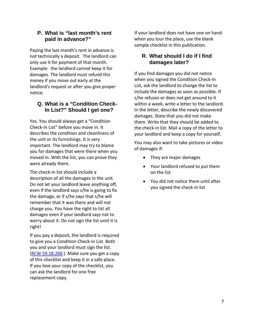#### <span id="page-10-0"></span>**P. What is "last month's rent paid in advance?"**

Paying the last month's rent in advance is not technically a deposit. The landlord can only use it for payment of that month. Example: the landlord cannot keep it for damages. The landlord must refund this money if you move out early at the landlord's request or after you give proper notice.

# <span id="page-10-1"></span>**Q. What is a "Condition Check-In List?" Should I get one?**

Yes. You should always get a "Condition Check-In List" before you move in. It describes the condition and cleanliness of the unit or its furnishings. It is very important. The landlord may try to blame you for damages that were there when you moved in. With the list, you can prove they were already there.

The check-in list should include a description of all the damages in the unit. Do not let your landlord leave anything off, even if the landlord says s/he is going to fix the damage, or if s/he says that s/he will remember that it was there and will not charge you. You have the right to list all damages even if your landlord says not to worry about it. Do not sign the list until it is right!

If you pay a deposit, the landlord is required to give you a Condition Check-In List. Both you and your landlord must sign the list. [\(RCW 59.18.260.](http://apps.leg.wa.gov/RCW/default.aspx?cite=59.18.260)) Make sure you get a copy of this checklist and keep it in a safe place. If you lose your copy of the checklist, you can ask the landlord for one free replacement copy.

If your landlord does not have one on hand when you tour the place, use the blank sample checklist in this publication.

# <span id="page-10-2"></span>**R. What should I do if I find damages later?**

If you find damages you did not notice when you signed the Condition Check-In List, ask the landlord to change the list to include the damages as soon as possible. If s/he refuses or does not get around to it within a week, write a letter to the landlord. In the letter, describe the newly discovered damages. State that you did not make them. Write that they should be added to the check-in list. Mail a copy of the letter to your landlord and keep a copy for yourself.

You may also want to take pictures or video of damages if:

- They are major damages
- Your landlord refused to put them on the list
- You did not notice them until after you signed the check-in list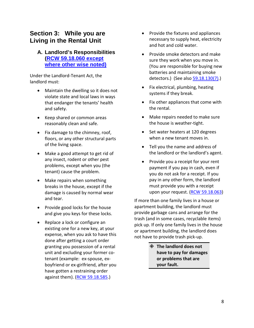# **Section 3: While you are Living in the Rental Unit**

## <span id="page-11-1"></span><span id="page-11-0"></span>**A. Landlord's Responsibilities [\(RCW 59.18.060](http://apps.leg.wa.gov/RCW/default.aspx?cite=59.18.060) except [where other wise noted\)](http://apps.leg.wa.gov/RCW/default.aspx?cite=59.18.060)**

Under the Landlord-Tenant Act, the landlord must:

- Maintain the dwelling so it does not violate state and local laws in ways that endanger the tenants' health and safety.
- Keep shared or common areas reasonably clean and safe.
- Fix damage to the chimney, roof, floors, or any other structural parts of the living space.
- Make a good attempt to get rid of any insect, rodent or other pest problems, except when you (the tenant) cause the problem.
- Make repairs when something breaks in the house, except if the damage is caused by normal wear and tear.
- Provide good locks for the house and give you keys for these locks.
- Replace a lock or configure an existing one for a new key, at your expense, when you ask to have this done after getting a court order granting you possession of a rental unit and excluding your former cotenant (example: ex-spouse, exboyfriend or ex-girlfriend, after you have gotten a restraining order against them). [\(RCW 59.18.585.](http://apps.leg.wa.gov/RCW/default.aspx?cite=59.18.585))
- Provide the fixtures and appliances necessary to supply heat, electricity and hot and cold water.
- Provide smoke detectors and make sure they work when you move in. (You are responsible for buying new batteries and maintaining smoke detectors.) (See als[o 59.18.130\(7\).](http://apps.leg.wa.gov/RCW/default.aspx?cite=59.18.130))
- Fix electrical, plumbing, heating systems if they break.
- Fix other appliances that come with the rental.
- Make repairs needed to make sure the house is weather-tight.
- Set water heaters at 120 degrees when a new tenant moves in.
- Tell you the name and address of the landlord or the landlord's agent.
- Provide you a receipt for your rent payment if you pay in cash, even if you do not ask for a receipt. If you pay in any other form, the landlord must provide you with a receipt upon your request. [\(RCW 59.18.063\)](http://apps.leg.wa.gov/RCW/default.aspx?cite=59.18.063)

If more than one family lives in a house or apartment building, the landlord must provide garbage cans and arrange for the trash (and in some cases, recyclable items) pick up. If only one family lives in the house or apartment building, the landlord does not have to provide trash pick-up.

> **The landlord does not have to pay for damages or problems that are your fault.**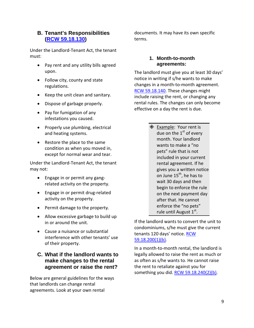### <span id="page-12-0"></span>**B. Tenant's Responsibilities [\(RCW 59.18.130\)](http://apps.leg.wa.gov/RCW/default.aspx?cite=59.18.130)**

Under the Landlord-Tenant Act, the tenant must:

- Pay rent and any utility bills agreed upon.
- Follow city, county and state regulations.
- Keep the unit clean and sanitary.
- Dispose of garbage properly.
- Pay for fumigation of any infestations you caused.
- Properly use plumbing, electrical and heating systems.
- Restore the place to the same condition as when you moved in, except for normal wear and tear.

Under the Landlord-Tenant Act, the tenant may not:

- Engage in or permit any gangrelated activity on the property.
- Engage in or permit drug-related activity on the property.
- Permit damage to the property.
- Allow excessive garbage to build up in or around the unit.
- Cause a nuisance or substantial interference with other tenants' use of their property.

## <span id="page-12-1"></span>**C. What if the landlord wants to make changes to the rental agreement or raise the rent?**

Below are general guidelines for the ways that landlords can change rental agreements. Look at your own rental

documents. It may have its own specific terms.

#### <span id="page-12-2"></span>**1. Month-to-month agreements:**

The landlord must give you at least 30 days' notice in writing if s/he wants to make changes in a month-to-month agreement. [RCW 59.18.140.](http://apps.leg.wa.gov/RCW/default.aspx?cite=59.18.140) These changes might include raising the rent, or changing any rental rules. The changes can only become effective on a day the rent is due.

> **♦ Example: Your rent is** due on the  $1<sup>st</sup>$  of every month. Your landlord wants to make a "no pets" rule that is not included in your current rental agreement. If he gives you a written notice on June  $15^{th}$ , he has to wait 30 days and then begin to enforce the rule on the next payment day after that. He cannot enforce the "no pets" rule until August 1st.

If the landlord wants to convert the unit to condominiums, s/he must give the current tenants 120 days' notice. [RCW](http://apps.leg.wa.gov/RCW/default.aspx?cite=59.18.200)  [59.18.200\(1\)\(b\).](http://apps.leg.wa.gov/RCW/default.aspx?cite=59.18.200)

In a month-to-month rental, the landlord is legally allowed to raise the rent as much or as often as s/he wants to. He cannot raise the rent to retaliate against you for something you did. [RCW 59.18.240\(2\)\(b\).](http://apps.leg.wa.gov/RCW/default.aspx?cite=59.18.240)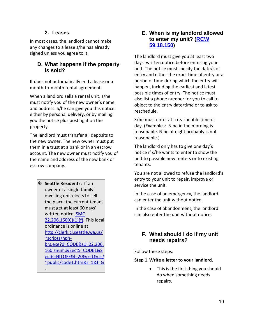## **2. Leases**

<span id="page-13-0"></span>In most cases, the landlord cannot make any changes to a lease s/he has already signed unless you agree to it.

## <span id="page-13-1"></span>**D. What happens if the property is sold?**

It does not automatically end a lease or a month-to-month rental agreement.

When a landlord sells a rental unit, s/he must notify you of the new owner's name and address. S/he can give you this notice either by personal delivery, or by mailing you the notice plus posting it on the property.

The landlord must transfer all deposits to the new owner. The new owner must put them in a trust at a bank or in an escrow account. The new owner must notify you of the name and address of the new bank or escrow company.

 **Seattle Residents:** If an owner of a single-family dwelling unit elects to sell the place, the current tenant must get at least 60 days' written notice. **SMC**  $22.206.160(C)(1)(f)$ . This local ordinance is online at [http://clerk.ci.seattle.wa.us/](http://clerk.ci.seattle.wa.us/~scripts/nph-brs.exe?d=CODE&s1=22.206.160.snum.&Sect5=CODE1&Sect6=HITOFF&l=20&p=1&u=/~public/code1.htm&r=1&f=G) [~scripts/nph](http://clerk.ci.seattle.wa.us/~scripts/nph-brs.exe?d=CODE&s1=22.206.160.snum.&Sect5=CODE1&Sect6=HITOFF&l=20&p=1&u=/~public/code1.htm&r=1&f=G)[brs.exe?d=CODE&s1=22.206.](http://clerk.ci.seattle.wa.us/~scripts/nph-brs.exe?d=CODE&s1=22.206.160.snum.&Sect5=CODE1&Sect6=HITOFF&l=20&p=1&u=/~public/code1.htm&r=1&f=G) [160.snum.&Sect5=CODE1&S](http://clerk.ci.seattle.wa.us/~scripts/nph-brs.exe?d=CODE&s1=22.206.160.snum.&Sect5=CODE1&Sect6=HITOFF&l=20&p=1&u=/~public/code1.htm&r=1&f=G) [ect6=HITOFF&l=20&p=1&u=/](http://clerk.ci.seattle.wa.us/~scripts/nph-brs.exe?d=CODE&s1=22.206.160.snum.&Sect5=CODE1&Sect6=HITOFF&l=20&p=1&u=/~public/code1.htm&r=1&f=G) [~public/code1.htm&r=1&f=G](http://clerk.ci.seattle.wa.us/~scripts/nph-brs.exe?d=CODE&s1=22.206.160.snum.&Sect5=CODE1&Sect6=HITOFF&l=20&p=1&u=/~public/code1.htm&r=1&f=G)

.

## <span id="page-13-2"></span>**E. When is my landlord allowed to enter my unit? [\(RCW](http://apps.leg.wa.gov/RCW/default.aspx?cite=59.18.150)  [59.18.150\)](http://apps.leg.wa.gov/RCW/default.aspx?cite=59.18.150)**

The landlord must give you at least two days' written notice before entering your unit. The notice must specify the date/s of entry and either the exact time of entry or a period of time during which the entry will happen, including the earliest and latest possible times of entry. The notice must also list a phone number for you to call to object to the entry date/time or to ask to reschedule.

S/he must enter at a reasonable time of day. (Examples: Nine in the morning is reasonable. Nine at night probably is not reasonable.)

The landlord only has to give one day's notice if s/he wants to enter to show the unit to possible new renters or to existing tenants.

You are not allowed to refuse the landlord's entry to your unit to repair, improve or service the unit.

In the case of an emergency, the landlord can enter the unit without notice.

In the case of abandonment, the landlord can also enter the unit without notice.

## <span id="page-13-3"></span>**F. What should I do if my unit needs repairs?**

Follow these steps:

#### **Step 1.Write a letter to your landlord.**

• This is the first thing you should do when something needs repairs.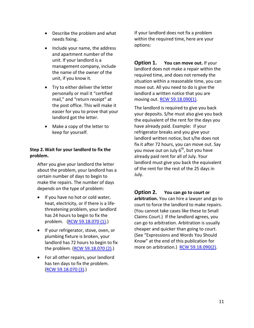- Describe the problem and what needs fixing.
- Include your name, the address and apartment number of the unit. If your landlord is a management company, include the name of the owner of the unit, if you know it.
- Try to either deliver the letter personally or mail it "certified mail," and "return receipt" at the post office. This will make it easier for you to prove that your landlord got the letter.
- Make a copy of the letter to keep for yourself.

#### **Step 2.Wait for your landlord to fix the problem.**

After you give your landlord the letter about the problem, your landlord has a certain number of days to begin to make the repairs. The number of days depends on the type of problem:

- If you have no hot or cold water, heat, electricity, or if there is a lifethreatening problem, your landlord has 24 hours to begin to fix the problem. [\(RCW 59.18.070 \(1\).](http://apps.leg.wa.gov/RCW/default.aspx?cite=59.18.070))
- If your refrigerator, stove, oven, or plumbing fixture is broken, your landlord has 72 hours to begin to fix the problem. [\(RCW 59.18.070 \(2\).](http://apps.leg.wa.gov/RCW/default.aspx?cite=59.18.070))
- For all other repairs, your landlord has ten days to fix the problem. [\(RCW 59.18.070 \(3\).](http://apps.leg.wa.gov/RCW/default.aspx?cite=59.18.070))

If your landlord does not fix a problem within the required time, here are your options:

**Option 1. You can move out.** If your landlord does not make a repair within the required time, and does not remedy the situation within a reasonable time, you can move out. All you need to do is give the landlord a written notice that you are moving out. **RCW 59.18.090(1)**.

The landlord is required to give you back your deposits. S/he must also give you back the equivalent of the rent for the days you have already paid. Example: if your refrigerator breaks and you give your landlord written notice, but s/he does not fix it after 72 hours, you can move out. Say you move out on July  $6<sup>th</sup>$ , but you have already paid rent for all of July. Your landlord must give you back the equivalent of the rent for the rest of the 25 days in July.

**Option 2. You can go to court or arbitration.** You can hire a lawyer and go to court to force the landlord to make repairs. (You cannot take cases like these to Small Claims Court.) If the landlord agrees, you can go to arbitration. Arbitration is usually cheaper and quicker than going to court. (See "Expressions and Words You Should Know" at the end of this publication for more on arbitration.) [RCW 59.18.090\(2\).](http://apps.leg.wa.gov/RCW/default.aspx?cite=59.18.090)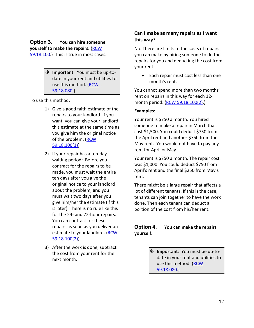#### **Option 3. You can hire someone yourself to make the repairs.** [\(RCW](http://apps.leg.wa.gov/RCW/default.aspx?cite=59.18.100)  [59.18.100.](http://apps.leg.wa.gov/RCW/default.aspx?cite=59.18.100))This is true in most cases.

[59.18.080.](http://apps.leg.wa.gov/RCW/default.aspx?cite=59.18.080))

 **Important**: You must be up-todate in your rent and utilities to

use this method. [\(RCW](http://apps.leg.wa.gov/RCW/default.aspx?cite=59.18.080) 

To use this method:

- 1) Give a good faith estimate of the repairs to your landlord. If you want, you can give your landlord this estimate at the same time as you give him the original notice of the problem. [\(RCW](http://apps.leg.wa.gov/RCW/default.aspx?cite=59.18.100)  [59.18.100\(1\)\)](http://apps.leg.wa.gov/RCW/default.aspx?cite=59.18.100).
- 2) If your repair has a ten-day waiting period: Before you contract for the repairs to be made, you must wait the entire ten days after you give the original notice to your landlord about the problem, **and** you must wait two days after you give him/her the estimate (if this is later). There is no rule like this for the 24- and 72-hour repairs. You can contract for these repairs as soon as you deliver an estimate to your landlord. [\(RCW](http://apps.leg.wa.gov/RCW/default.aspx?cite=59.18.100)  [59.18.100\(2\)\)](http://apps.leg.wa.gov/RCW/default.aspx?cite=59.18.100).
- 3) After the work is done, subtract the cost from your rent for the next month.

#### **Can I make as many repairs as I want this way?**

No. There are limits to the costs of repairs you can make by hiring someone to do the repairs for you and deducting the cost from your rent.

• Each repair must cost less than one month's rent.

You cannot spend more than two months' rent on repairs in this way for each 12- month period. [\(RCW 59.18.100\(2\).](http://apps.leg.wa.gov/RCW/default.aspx?cite=59.18.100))

#### **Examples:**

Your rent is \$750 a month. You hired someone to make a repair in March that cost \$1,500. You could deduct \$750 from the April rent and another \$750 from the May rent. You would not have to pay any rent for April or May.

Your rent is \$750 a month. The repair cost was \$1,000. You could deduct \$750 from April's rent and the final \$250 from May's rent.

There might be a large repair that affects a lot of different tenants. If this is the case, tenants can join together to have the work done. Then each tenant can deduct a portion of the cost from his/her rent.

#### **Option 4. You can make the repairs yourself.**

 **Important**: You must be up-todate in your rent and utilities to use this method. [\(RCW](http://apps.leg.wa.gov/RCW/default.aspx?cite=59.18.080) [59.18.080.](http://apps.leg.wa.gov/RCW/default.aspx?cite=59.18.080))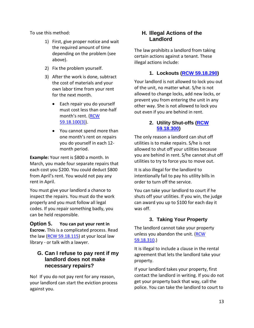To use this method:

- 1) First, give proper notice and wait the required amount of time depending on the problem (see above).
- 2) Fix the problem yourself.
- 3) After the work is done, subtract the cost of materials and your own labor time from your rent for the next month.
	- Each repair you do yourself must cost less than one-half month's rent. [\(RCW](http://apps.leg.wa.gov/RCW/default.aspx?cite=59.18.100)  [59.18.100\(3\)\)](http://apps.leg.wa.gov/RCW/default.aspx?cite=59.18.100).
	- You cannot spend more than one month's rent on repairs you do yourself in each 12 month period.

**Example:** Your rent is \$800 a month. In March, you made four separate repairs that each cost you \$200. You could deduct \$800 from April's rent. You would not pay any rent in April.

You must give your landlord a chance to inspect the repairs. You must do the work properly and you must follow all legal codes. If you repair something badly, you can be held responsible.

# **Option 5. You can put your rent in**

**Escrow.** This is a complicated process. Read the law [\(RCW 59.18.115\)](http://apps.leg.wa.gov/RCW/default.aspx?cite=59.18.115) at your local law library - or talk with a lawyer.

## <span id="page-16-0"></span>**G. Can I refuse to pay rent if my landlord does not make necessary repairs?**

No! If you do not pay rent for any reason, your landlord can start the eviction process against you.

# <span id="page-16-1"></span>**H. Illegal Actions of the Landlord**

The law prohibits a landlord from taking certain actions against a tenant. These illegal actions include:

# **1. Lockouts [\(RCW 59.18.290\)](http://apps.leg.wa.gov/RCW/default.aspx?cite=59.18.290)**

<span id="page-16-2"></span>Your landlord is not allowed to lock you out of the unit, no matter what. S/he is not allowed to change locks, add new locks, or prevent you from entering the unit in any other way. She is not allowed to lock you out even if you are behind in rent.

### <span id="page-16-3"></span>**2. Utility Shut-offs [\(RCW](http://apps.leg.wa.gov/RCW/default.aspx?cite=59.18.300)  [59.18.300\)](http://apps.leg.wa.gov/RCW/default.aspx?cite=59.18.300)**

The only reason a landlord can shut off utilities is to make repairs. S/he is not allowed to shut off your utilities because you are behind in rent. S/he cannot shut off utilities to try to force you to move out.

It is also illegal for the landlord to intentionally fail to pay his utility bills in order to turn off the service.

You can take your landlord to court if he shuts off your utilities. If you win, the judge can award you up to \$100 for each day it was off.

# **3. Taking Your Property**

<span id="page-16-4"></span>The landlord cannot take your property unless you abandon the unit. [\(RCW](http://apps.leg.wa.gov/RCW/default.aspx?cite=59.18.310)  [59.18.310.](http://apps.leg.wa.gov/RCW/default.aspx?cite=59.18.310))

It is illegal to include a clause in the rental agreement that lets the landlord take your property.

If your landlord takes your property, first contact the landlord in writing. If you do not get your property back that way, call the police. You can take the landlord to court to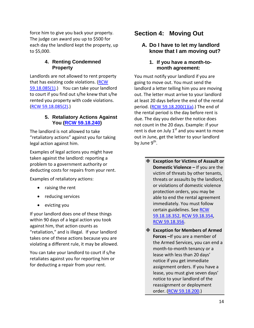force him to give you back your property. The judge can award you up to \$500 for each day the landlord kept the property, up to \$5,000.

#### <span id="page-17-0"></span>**4. Renting Condemned Property**

Landlords are not allowed to rent property that has existing code violations. [\(RCW](http://apps.leg.wa.gov/RCW/default.aspx?cite=59.18.085)  [59.18.085\(1\).](http://apps.leg.wa.gov/RCW/default.aspx?cite=59.18.085)) You can take your landlord to court if you find out s/he knew that s/he rented you property with code violations. [\(RCW 59.18.085\(2\).](http://apps.leg.wa.gov/RCW/default.aspx?cite=59.18.085))

#### <span id="page-17-1"></span>**5. Retaliatory Actions Against You [\(RCW 59.18.240\)](http://apps.leg.wa.gov/RCW/default.aspx?cite=59.18.240)**

The landlord is not allowed to take "retaliatory actions" against you for taking legal action against him.

Examples of legal actions you might have taken against the landlord: reporting a problem to a government authority or deducting costs for repairs from your rent.

Examples of retaliatory actions:

- raising the rent
- reducing services
- evicting you

If your landlord does one of these things within 90 days of a legal action you took against him, that action counts as "retaliation," and is illegal. If your landlord takes one of these actions because you are violating a different rule, it may be allowed.

You can take your landlord to court if s/he retaliates against you for reporting him or for deducting a repair from your rent.

# **Section 4: Moving Out**

#### <span id="page-17-3"></span><span id="page-17-2"></span>**A. Do I have to let my landlord know that I am moving out?**

#### **1. If you have a month-tomonth agreement:**

<span id="page-17-4"></span>You must notify your landlord if you are going to move out. You must send the landlord a letter telling him you are moving out. The letter must arrive to your landlord at least 20 days before the end of the rental period. (RCW 59.18.200 $(1)(a)$ .) The end of the rental period is the day before rent is due. The day you deliver the notice does not count in the 20 days. Example: if your rent is due on July  $1^{st}$  and you want to move out in June, get the letter to your landlord by June  $9^{th}$ .

- **Exception for Victims of Assault or Domestic Violence –** If you are the victim of threats by other tenants, threats or assaults by the landlord, or violations of domestic violence protection orders, you may be able to end the rental agreement immediately. You must follow certain guidelines. See [RCW](http://apps.leg.wa.gov/RCW/default.aspx?cite=59.18.352)  [59.18.18.352,](http://apps.leg.wa.gov/RCW/default.aspx?cite=59.18.352) [RCW 59.18.354,](http://apps.leg.wa.gov/RCW/default.aspx?cite=59.18.354) [RCW 59.18.356.](http://apps.leg.wa.gov/RCW/default.aspx?cite=59.18.356)
- **Exception for Members of Armed Forces –**If you are a member of the Armed Services, you can end a month-to-month tenancy or a lease with less than 20 days' notice if you get immediate assignment orders. If you have a lease, you must give seven days' notice to your landlord of the reassignment or deployment order. [\(RCW 59.18.200.](http://apps.leg.wa.gov/RCW/default.aspx?cite=59.18.200))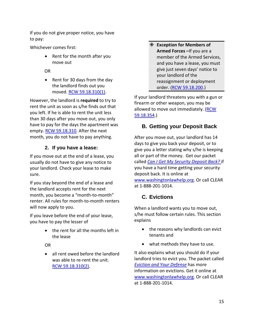If you do not give proper notice, you have to pay:

Whichever comes first:

• Rent for the month after you move out

OR

• Rent for 30 days from the day the landlord finds out you moved. [RCW 59.18.310\(1\).](http://apps.leg.wa.gov/RCW/default.aspx?cite=59.18.310)

However, the landlord is **required** to try to rent the unit as soon as s/he finds out that you left. If he is able to rent the unit less than 30 days after you move out, you only have to pay for the days the apartment was empty. [RCW 59.18.310.](http://apps.leg.wa.gov/RCW/default.aspx?cite=59.18.310) After the next month, you do not have to pay anything.

# **2. If you have a lease:**

<span id="page-18-0"></span>If you move out at the end of a lease, you usually do not have to give any notice to your landlord. Check your lease to make sure.

If you stay beyond the end of a lease and the landlord accepts rent for the next month, you become a "month-to-month" renter. All rules for month-to-month renters will now apply to you.

If you leave before the end of your lease, you have to pay the lesser of

> • the rent for all the months left in the lease

OR

• all rent owed before the landlord was able to re-rent the unit. [RCW 59.18.310\(2\).](http://apps.leg.wa.gov/RCW/default.aspx?cite=59.18.310)

#### **Exception for Members of Armed Forces –**If you are a member of the Armed Services, and you have a lease, you must give just seven days' notice to your landlord of the reassignment or deployment order. [\(RCW 59.18.200.](http://apps.leg.wa.gov/RCW/default.aspx?cite=59.18.200))

If your landlord threatens you with a gun or firearm or other weapon, you may be allowed to move out immediately. (RCW [59.18.354.](http://apps.leg.wa.gov/RCW/default.aspx?cite=59.18.354))

# <span id="page-18-1"></span>**B. Getting your Deposit Back**

After you move out, your landlord has 14 days to give you back your deposit, or to give you a letter stating why s/he is keeping all or part of the money. Get our packet called *[Can I Get My Security Deposit Back?](http://www.washingtonlawhelp.org/resource/can-i-get-my-security-deposit-back?ref=HLvsR)* if you have a hard time getting your security deposit back. It is online at [www.washingtonlawhelp.org.](http://www.washingtonlawhelp.gov/) Or call CLEAR at 1-888-201-1014.

# <span id="page-18-2"></span>**C. Evictions**

When a landlord wants you to move out, s/he must follow certain rules. This section explains

- the reasons why landlords can evict tenants and
- what methods they have to use.

It also explains what you should do if your landlord tries to evict you. The packet called *[Eviction and Your Defense](http://www.washingtonlawhelp.org/resource/eviction-and-your-defense?ref=1hAFB)* has more information on evictions. Get it online at [www.washingtonlawhelp.org.](http://www.washingtonlawhelp.gov/) Or call CLEAR at 1-888-201-1014.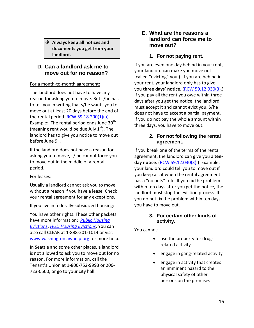**Always keep all notices and documents you get from your landlord.**

## <span id="page-19-0"></span>**D. Can a landlord ask me to move out for no reason?**

#### For a month-to-month agreement:

The landlord does not have to have any reason for asking you to move. But s/he has to tell you in writing that s/he wants you to move out at least 20 days before the end of the rental period. [RCW 59.18.200\(1\)\(a\).](http://apps.leg.wa.gov/RCW/default.aspx?cite=59.18.200) Example: The rental period ends June  $30<sup>th</sup>$ (meaning rent would be due July  $1<sup>st</sup>$ ). The landlord has to give you notice to move out before June 9<sup>th</sup>.

If the landlord does not have a reason for asking you to move, s/ he cannot force you to move out in the middle of a rental period.

#### For leases:

Usually a landlord cannot ask you to move without a reason if you have a lease. Check your rental agreement for any exceptions.

#### If you live in federally-subsidized housing:

You have other rights. These other packets have more information: *[Public Housing](http://www.washingtonlawhelp.org/resource/public-housing-evictions?ref=xL3bh)  [Evictions](http://www.washingtonlawhelp.org/resource/public-housing-evictions?ref=xL3bh)*; *[HUD Housing Evictions](http://www.washingtonlawhelp.org/resource/hud-housing-evictions?ref=xL3bh)*. You can also call CLEAR at 1-888-201-1014 or visit [www.washingtonlawhelp.org](http://www.washingtonlawhelp.org/) for more help.

In Seattle and some other places, a landlord is not allowed to ask you to move out for no reason. For more information, call the Tenant's Union at 1-800-752-9993 or 206- 723-0500, or go to your city hall.

#### <span id="page-19-1"></span>**E. What are the reasons a landlord can force me to move out?**

#### **1. For not paying rent.**

<span id="page-19-2"></span>If you are even one day behind in your rent, your landlord can make you move out (called "evicting" you.) If you are behind in your rent, your landlord only has to give you **three days' notice.** [\(RCW 59.12.030\(3\).](http://apps.leg.wa.gov/RCW/default.aspx?cite=59.12.030)) If you pay all the rent you owe within three days after you get the notice, the landlord must accept it and cannot evict you. S/he does not have to accept a partial payment. If you do not pay the whole amount within three days, you have to move out.

#### <span id="page-19-3"></span>**2. For not following the rental agreement.**

If you break one of the terms of the rental agreement, the landlord can give you a **tenday notice**. [\(RCW 59.12.030\(3\).](http://apps.leg.wa.gov/RCW/default.aspx?cite=59.12.030))Example: your landlord could tell you to move out if you keep a cat when the rental agreement has a "no pets" rule. If you fix the problem within ten days after you get the notice, the landlord must stop the eviction process. If you do not fix the problem within ten days, you have to move out.

#### <span id="page-19-4"></span>**3. For certain other kinds of activity.**

You cannot:

- use the property for drugrelated activity
- engage in gang-related activity
- engage in activity that creates an imminent hazard to the physical safety of other persons on the premises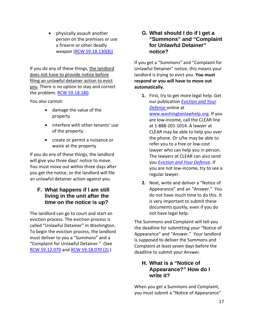• physically assault another person on the premises or use a firearm or other deadly weapon [\(RCW 59.18.130\(8\)\)](http://apps.leg.wa.gov/rcw/default.aspx?cite=59.18.130)

If you do any of these things, the landlord does not have to provide notice before filing an unlawful detainer action to evict you. There is no option to stay and correct the problem. RCW [59.18.180.](http://apps.leg.wa.gov/RCW/default.aspx?cite=59.18.180)

You also cannot:

- damage the value of the property
- interfere with other tenants' use of the property
- create or permit a nuisance or waste at the property

If you do any of these things, the landlord will give you three days' notice to move. You must move out within three days after you get the notice, or the landlord will file an unlawful detainer action against you.

# <span id="page-20-0"></span>**F. What happens if I am still living in the unit after the time on the notice is up?**

The landlord can go to court and start an eviction process. The eviction process is called "Unlawful Detainer" in Washington. To begin the eviction process, the landlord must deliver to you a "Summons" and a "Complaint for Unlawful Detainer." (See [RCW 59.12.070](http://apps.leg.wa.gov/RCW/default.aspx?cite=59.12.070) an[d RCW 59.18.070 \(2\).](http://apps.leg.wa.gov/RCW/default.aspx?cite=59.12.070))

#### <span id="page-20-1"></span>**G. What should I do if I get a "Summons" and "Complaint for Unlawful Detainer" notice?**

If you get a "Summons" and "Complaint for Unlawful Detainer" notice, this means your landlord is trying to evict you. **You must respond or you will have to move out automatically.**

- **1.** First, try to get more legal help. Get our publication *[Eviction and Your](http://www.washingtonlawhelp.org/resource/eviction-and-your-defense?ref=1hAFB)  [Defense](http://www.washingtonlawhelp.org/resource/eviction-and-your-defense?ref=1hAFB)* online at [www.washingtonlawhelp.org.](http://www.washingtonlawhelp.org/) If you are low-income, call the CLEAR line at 1-888-201-1014. A lawyer at CLEAR may be able to help you over the phone. Or s/he may be able to refer you to a free or low-cost lawyer who can help you in person. The lawyers at CLEAR can also send you *[Eviction and Your Defense](http://www.washingtonlawhelp.org/resource/eviction-and-your-defense?ref=1hAFB)*. If you are not low-income, try to see a regular lawyer.
- **2.** Next, write and deliver a "Notice of Appearance" and an "Answer." You do not have much time to do this. It is very important to submit these documents quickly, even if you do not have legal help.

The Summons and Complaint will tell you the deadline for submitting your "Notice of Appearance" and "Answer." Your landlord is supposed to deliver the Summons and Complaint at least seven days before the deadline to submit your Answer.

# <span id="page-20-2"></span>**H. What is a "Notice of Appearance?" How do I write it?**

When you get a Summons and Complaint, you must submit a "Notice of Appearance"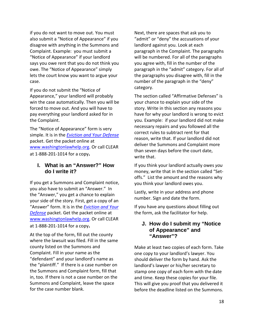if you do not want to move out. You must also submit a "Notice of Appearance" if you disagree with anything in the Summons and Complaint. Example: you must submit a "Notice of Appearance" if your landlord says you owe rent that you do not think you owe. The "Notice of Appearance" simply lets the court know you want to argue your case.

If you do not submit the "Notice of Appearance," your landlord will probably win the case automatically. Then you will be forced to move out. And you will have to pay everything your landlord asked for in the Complaint.

The "Notice of Appearance" form is very simple. It is in the *[Eviction and Your Defense](http://www.washingtonlawhelp.org/resource/eviction-and-your-defense?ref=1hAFB)* packet. Get the packet online at [www.washingtonlawhelp.org.](http://www.washingtonlawhelp.org/) Or call CLEAR at 1-888-201-1014 for a copy**.**

#### <span id="page-21-0"></span>**I. What is an "Answer?" How do I write it?**

If you get a Summons and Complaint notice, you also have to submit an "Answer." In the "Answer," you get a chance to explain your side of the story. First, get a copy of an "Answer" form. It is in the *[Eviction and Your](http://www.washingtonlawhelp.org/resource/eviction-and-your-defense?ref=1hAFB)  [Defense](http://www.washingtonlawhelp.org/resource/eviction-and-your-defense?ref=1hAFB)* packet. Get the packet online at [www.washingtonlawhelp.org.](http://www.washingtonlawhelp.org/) Or call CLEAR at 1-888-201-1014 for a copy**.**

At the top of the form, fill out the county where the lawsuit was filed. Fill in the same county listed on the Summons and Complaint. Fill in your name as the "defendant" and your landlord's name as the "plaintiff." If there is a case number on the Summons and Complaint form, fill that in, too. If there is not a case number on the Summons and Complaint, leave the space for the case number blank.

Next, there are spaces that ask you to "admit" or "deny" the accusations of your landlord against you. Look at each paragraph in the Complaint. The paragraphs will be numbered. For all of the paragraphs you agree with, fill in the number of the paragraph in the "admit" category. For all of the paragraphs you disagree with, fill in the number of the paragraph in the "deny" category.

The section called "Affirmative Defenses" is your chance to explain your side of the story. Write in this section any reasons you have for why your landlord is wrong to evict you. Example: if your landlord did not make necessary repairs and you followed all the correct rules to subtract rent for that reason, write that. If your landlord did not deliver the Summons and Complaint more than seven days before the court date, write that.

If you think your landlord actually owes *you* money, write that in the section called "Setoffs." List the amount and the reasons why you think your landlord owes you.

Lastly, write in your address and phone number. Sign and date the form.

If you have any questions about filling out the form, ask the facilitator for help.

#### <span id="page-21-1"></span>**J. How do I submit my "Notice of Appearance" and "Answer"?**

Make at least two copies of each form. Take one copy to your landlord's lawyer. You should deliver the form by hand. Ask the landlord's lawyer or his/her secretary to stamp one copy of each form with the date and time. Keep these copies for your file. This will give you proof that you delivered it before the deadline listed on the Summons.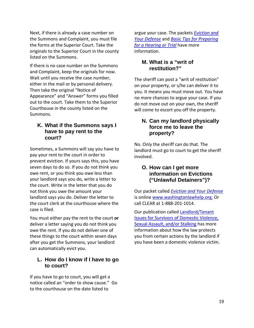Next, if there is already a case number on the Summons and Complaint, you must file the forms at the Superior Court. Take the originals to the Superior Court in the county listed on the Summons.

If there is no case number on the Summons and Complaint, keep the originals for now. Wait until you receive the case number, either in the mail or by personal delivery. Then take the original "Notice of Appearance" and "Answer" forms you filled out to the court. Take them to the Superior Courthouse in the county listed on the Summons.

#### <span id="page-22-0"></span>**K. What if the Summons says I have to pay rent to the court?**

Sometimes, a Summons will say you have to pay your rent to the court in order to prevent eviction. If yours says this, you have seven days to do so. If you do not think you owe rent, or you think you owe less than your landlord says you do, write a letter to the court. Write in the letter that you do not think you owe the amount your landlord says you do. Deliver the letter to the court clerk at the courthouse where the case is filed.

You must either pay the rent to the court **or** deliver a letter saying you do not think you owe the rent. If you do not deliver one of these things to the court within seven days after you get the Summons, your landlord can automatically evict you.

#### <span id="page-22-1"></span>**L. How do I know if I have to go to court?**

If you have to go to court, you will get a notice called an "order to show cause." Go to the courthouse on the date listed to

argue your case. The packets *[Eviction and](http://www.washingtonlawhelp.org/resource/eviction-and-your-defense?ref=1hAFB)  [Your Defense](http://www.washingtonlawhelp.org/resource/eviction-and-your-defense?ref=1hAFB)* and *[Basic Tips for Preparing](http://www.washingtonlawhelp.org/resource/basic-tips-on-how-to-prepare-for-a-court-hear?ref=n47lt)  [for a Hearing or Trial](http://www.washingtonlawhelp.org/resource/basic-tips-on-how-to-prepare-for-a-court-hear?ref=n47lt)* have more information.

#### <span id="page-22-2"></span>**M. What is a "writ of restitution?"**

The sheriff can post a "writ of restitution" on your property, or s/he can deliver it to you. It means you must move out. You have no more chances to argue your case. If you do not move out on your own, the sheriff will come to escort you off the property.

#### <span id="page-22-3"></span>**N. Can my landlord physically force me to leave the property?**

No. Only the sheriff can do that. The landlord must go to court to get the sheriff involved.

#### <span id="page-22-4"></span>**O. How can I get more information on Evictions ("Unlawful Detainers")?**

Our packet called *[Eviction and Your Defense](http://www.washingtonlawhelp.org/resource/eviction-and-your-defense?ref=1hAFB)* is online [www.washingtonlawhelp.org.](http://www.washingtonlawhelp.gov/) Or call CLEAR at 1-888-201-1014.

Our publication called [Landlord/Tenant](http://www.washingtonlawhelp.org/resource/landlordtenant-issues-for-survivors-of-domest?ref=puEsu)  [Issues for Survivors of Domestic Violence,](http://www.washingtonlawhelp.org/resource/landlordtenant-issues-for-survivors-of-domest?ref=puEsu)  [Sexual Assault, and/or Stalking](http://www.washingtonlawhelp.org/resource/landlordtenant-issues-for-survivors-of-domest?ref=puEsu) has more information about how the law protects you from certain actions by the landlord if you have been a domestic violence victim.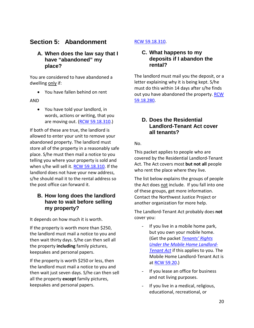# **Section 5: Abandonment**

#### <span id="page-23-1"></span><span id="page-23-0"></span>**A. When does the law say that I have "abandoned" my place?**

You are considered to have abandoned a dwelling only if:

• You have fallen behind on rent

#### AND

• You have told your landlord, in words, actions or writing, that you are moving out. [\(RCW 59.18.310.](http://apps.leg.wa.gov/RCW/default.aspx?cite=59.18.310))

If both of these are true, the landlord is allowed to enter your unit to remove your abandoned property. The landlord must store all of the property in a reasonably safe place. S/he must then mail a notice to you telling you where your property is sold and when s/he will sell it. [RCW 59.18.310.](http://apps.leg.wa.gov/RCW/default.aspx?cite=59.18.310) If the landlord does not have your new address, s/he should mail it to the rental address so the post office can forward it.

#### <span id="page-23-2"></span>**B. How long does the landlord have to wait before selling my property?**

It depends on how much it is worth.

If the property is worth more than \$250, the landlord must mail a notice to you and then wait thirty days. S/he can then sell all the property **including** family pictures, keepsakes and personal papers.

If the property is worth \$250 or less, then the landlord must mail a notice to you and then wait just seven days. S/he can then sell all the property **except** family pictures, keepsakes and personal papers.

#### <span id="page-23-3"></span>[RCW 59.18.310.](http://apps.leg.wa.gov/RCW/default.aspx?cite=59.18.310)

#### **C. What happens to my deposits if I abandon the rental?**

The landlord must mail you the deposit, or a letter explaining why it is being kept. S/he must do this within 14 days after s/he finds out you have abandoned the property. [RCW](http://apps.leg.wa.gov/RCW/default.aspx?cite=59.18.280)  [59.18.280.](http://apps.leg.wa.gov/RCW/default.aspx?cite=59.18.280)

#### <span id="page-23-4"></span>**D. Does the Residential Landlord-Tenant Act cover all tenants?**

#### No.

This packet applies to people who are covered by the Residential Landlord-Tenant Act. The Act covers most **but not all** people who rent the place where they live.

The list below explains the groups of people the Act does not include. If you fall into one of these groups, get more information. Contact the Northwest Justice Project or another organization for more help.

The Landlord-Tenant Act probably does **not** cover you:

- If you live in a mobile home park, but you own your mobile home. (Get the packet *[Tenants' Rights](http://www.washingtonlawhelp.org/resource/tenants-rights-under-the-manufacturedmobile-h?ref=l2BGW)  [Under the Mobile Home Landlord-](http://www.washingtonlawhelp.org/resource/tenants-rights-under-the-manufacturedmobile-h?ref=l2BGW)[Tenant Act](http://www.washingtonlawhelp.org/resource/tenants-rights-under-the-manufacturedmobile-h?ref=l2BGW)* if this applies to you. The Mobile Home Landlord-Tenant Act is at [RCW 59.20.](http://apps.leg.wa.gov/RCW/default.aspx?cite=59.20))
- If you lease an office for business and not living purposes.
- If you live in a medical, religious, educational, recreational, or